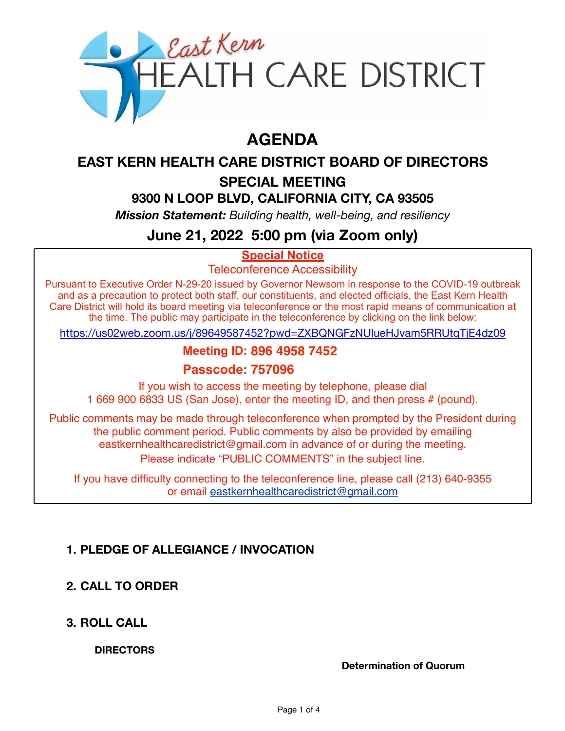

# **AGENDA**

# **EAST KERN HEALTH CARE DISTRICT BOARD OF DIRECTORS**

# **SPECIAL MEETING**

# **9300 N LOOP BLVD, CALIFORNIA CITY, CA 93505**

*Mission Statement: Building health, well-being, and resiliency*

# **June 21, 2022 5:00 pm (via Zoom only)**

# **Special Notice**

Teleconference Accessibility

Pursuant to Executive Order N-29-20 issued by Governor Newsom in response to the COVID-19 outbreak and as a precaution to protect both staff, our constituents, and elected officials, the East Kern Health Care District will hold its board meeting via teleconference or the most rapid means of communication at the time. The public may participate in the teleconference by clicking on the link below:

<https://us02web.zoom.us/j/89649587452?pwd=ZXBQNGFzNUlueHJvam5RRUtqTjE4dz09>

# **Meeting ID: 896 4958 7452**

#### **Passcode: 757096**

If you wish to access the meeting by telephone, please dial 1 669 900 6833 US (San Jose), enter the meeting ID, and then press # (pound).

Public comments may be made through teleconference when prompted by the President during the public comment period. Public comments by also be provided by emailing eastkernhealthcaredistrict@gmail.com in advance of or during the meeting. Please indicate "PUBLIC COMMENTS" in the subject line.

If you have difficulty connecting to the teleconference line, please call (213) 640-9355 or email eastkernhealthcaredistrict@gmail.com

## **1. PLEDGE OF ALLEGIANCE / INVOCATION**

## **2. CALL TO ORDER**

**3. ROLL CALL** 

**DIRECTORS** 

**Determination of Quorum**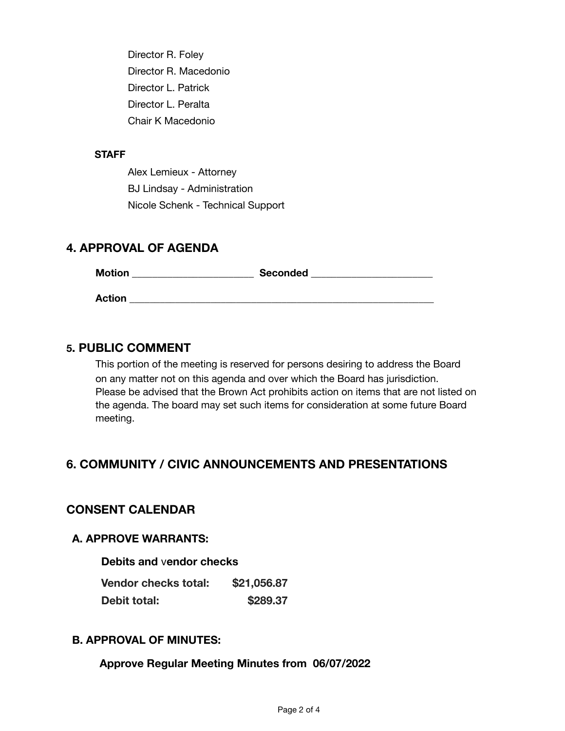Director R. Foley Director R. Macedonio Director L. Patrick Director L. Peralta Chair K Macedonio

#### **STAFF**

Alex Lemieux - Attorney BJ Lindsay - Administration Nicole Schenk - Technical Support

#### **4. APPROVAL OF AGENDA**

| <b>Motion</b> | <b>Seconded</b> |  |
|---------------|-----------------|--|
| <b>Action</b> |                 |  |

#### **5. PUBLIC COMMENT**

This portion of the meeting is reserved for persons desiring to address the Board on any matter not on this agenda and over which the Board has jurisdiction. Please be advised that the Brown Act prohibits action on items that are not listed on the agenda. The board may set such items for consideration at some future Board meeting.

## **6. COMMUNITY / CIVIC ANNOUNCEMENTS AND PRESENTATIONS**

#### **CONSENT CALENDAR**

#### **A. APPROVE WARRANTS:**

#### **Debits and** v**endor checks**

| Vendor checks total: | \$21,056.87 |
|----------------------|-------------|
| <b>Debit total:</b>  | \$289.37    |

#### **B. APPROVAL OF MINUTES:**

**Approve Regular Meeting Minutes from 06/07/2022**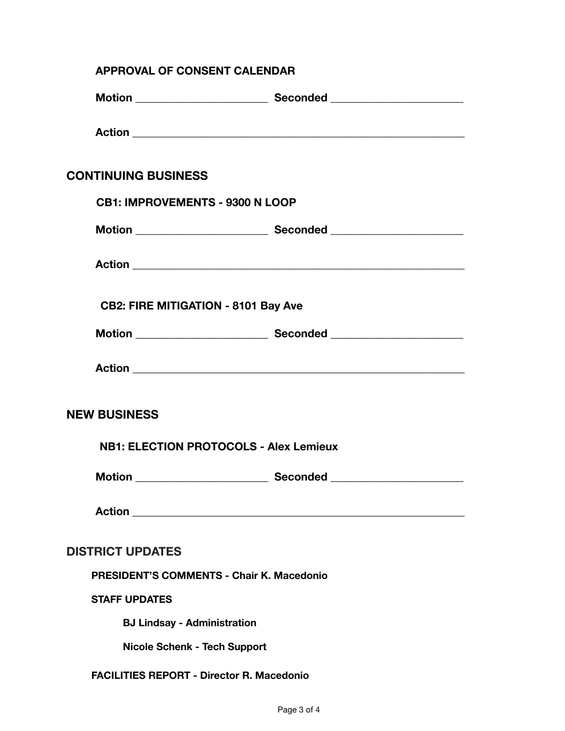| <b>APPROVAL OF CONSENT CALENDAR</b>              |                                               |  |
|--------------------------------------------------|-----------------------------------------------|--|
|                                                  |                                               |  |
|                                                  |                                               |  |
| <b>CONTINUING BUSINESS</b>                       |                                               |  |
| <b>CB1: IMPROVEMENTS - 9300 N LOOP</b>           |                                               |  |
|                                                  |                                               |  |
|                                                  |                                               |  |
| <b>CB2: FIRE MITIGATION - 8101 Bay Ave</b>       |                                               |  |
|                                                  |                                               |  |
|                                                  |                                               |  |
| <b>NEW BUSINESS</b>                              |                                               |  |
|                                                  | <b>NB1: ELECTION PROTOCOLS - Alex Lemieux</b> |  |
|                                                  |                                               |  |
|                                                  |                                               |  |
| <b>DISTRICT UPDATES</b>                          |                                               |  |
| PRESIDENT'S COMMENTS - Chair K. Macedonio        |                                               |  |
| <b>STAFF UPDATES</b>                             |                                               |  |
| <b>BJ Lindsay - Administration</b>               |                                               |  |
| <b>Nicole Schenk - Tech Support</b>              |                                               |  |
| <b>FACILITIES REPORT - Director R. Macedonio</b> |                                               |  |